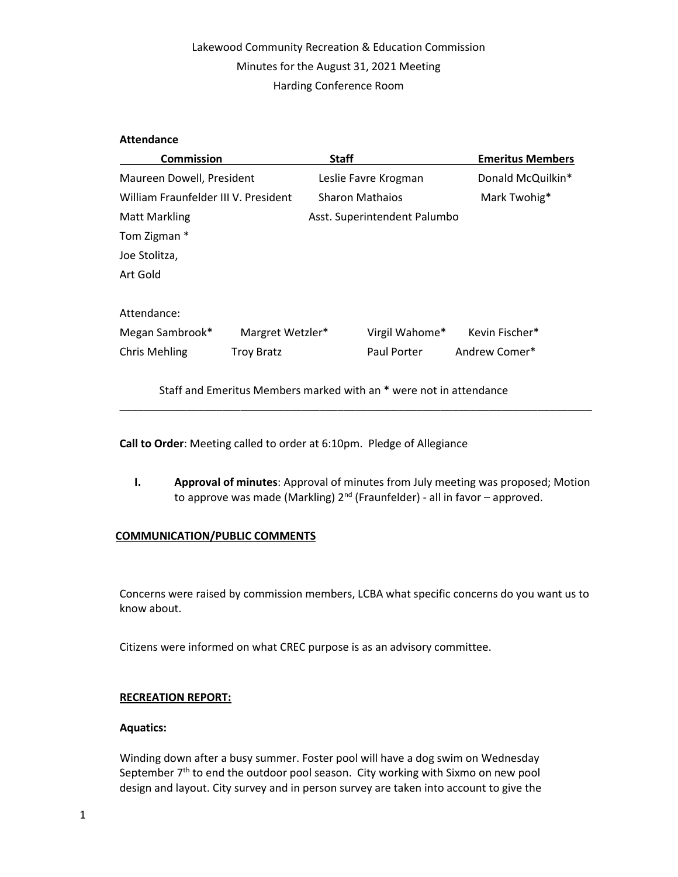# Lakewood Community Recreation & Education Commission Minutes for the August 31, 2021 Meeting Harding Conference Room

## Attendance

| <b>Commission</b>                    |                   | <b>Staff</b>                 |                | <b>Emeritus Members</b> |
|--------------------------------------|-------------------|------------------------------|----------------|-------------------------|
| Maureen Dowell, President            |                   | Leslie Favre Krogman         |                | Donald McQuilkin*       |
| William Fraunfelder III V. President |                   | <b>Sharon Mathaios</b>       |                | Mark Twohig*            |
| <b>Matt Markling</b>                 |                   | Asst. Superintendent Palumbo |                |                         |
| Tom Zigman *                         |                   |                              |                |                         |
| Joe Stolitza,                        |                   |                              |                |                         |
| Art Gold                             |                   |                              |                |                         |
| Attendance:                          |                   |                              |                |                         |
| Megan Sambrook*                      | Margret Wetzler*  |                              | Virgil Wahome* | Kevin Fischer*          |
| <b>Chris Mehling</b>                 | <b>Troy Bratz</b> |                              | Paul Porter    | Andrew Comer*           |

Staff and Emeritus Members marked with an \* were not in attendance

Call to Order: Meeting called to order at 6:10pm. Pledge of Allegiance

I. Approval of minutes: Approval of minutes from July meeting was proposed; Motion to approve was made (Markling) 2<sup>nd</sup> (Fraunfelder) - all in favor – approved.

\_\_\_\_\_\_\_\_\_\_\_\_\_\_\_\_\_\_\_\_\_\_\_\_\_\_\_\_\_\_\_\_\_\_\_\_\_\_\_\_\_\_\_\_\_\_\_\_\_\_\_\_\_\_\_\_\_\_\_\_\_\_\_\_\_\_\_\_\_\_\_\_\_\_\_\_\_\_

## COMMUNICATION/PUBLIC COMMENTS

Concerns were raised by commission members, LCBA what specific concerns do you want us to know about.

Citizens were informed on what CREC purpose is as an advisory committee.

### RECREATION REPORT:

### Aquatics:

Winding down after a busy summer. Foster pool will have a dog swim on Wednesday September  $7<sup>th</sup>$  to end the outdoor pool season. City working with Sixmo on new pool design and layout. City survey and in person survey are taken into account to give the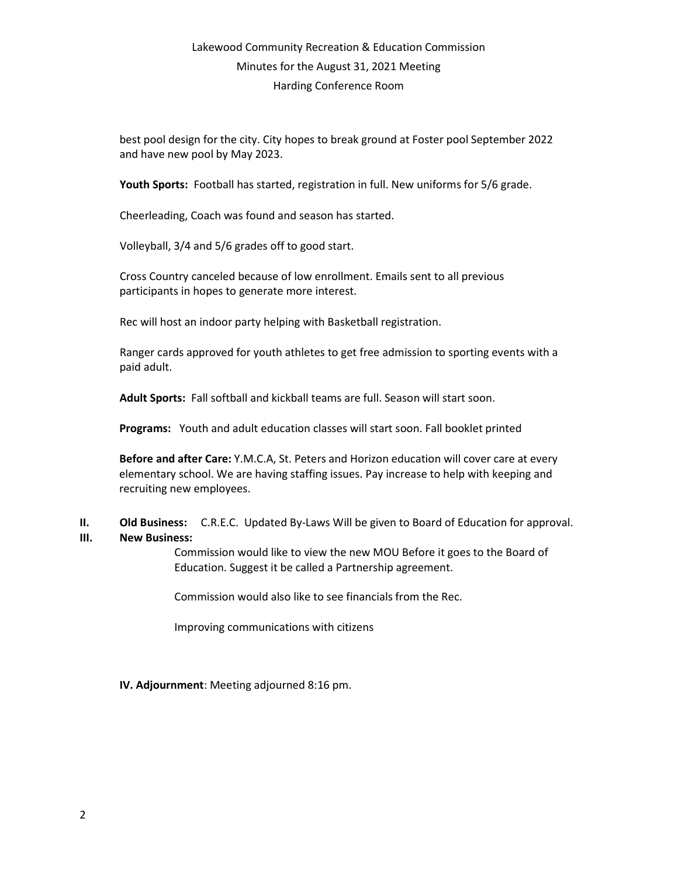# Lakewood Community Recreation & Education Commission Minutes for the August 31, 2021 Meeting Harding Conference Room

best pool design for the city. City hopes to break ground at Foster pool September 2022 and have new pool by May 2023.

Youth Sports: Football has started, registration in full. New uniforms for 5/6 grade.

Cheerleading, Coach was found and season has started.

Volleyball, 3/4 and 5/6 grades off to good start.

Cross Country canceled because of low enrollment. Emails sent to all previous participants in hopes to generate more interest.

Rec will host an indoor party helping with Basketball registration.

Ranger cards approved for youth athletes to get free admission to sporting events with a paid adult.

Adult Sports: Fall softball and kickball teams are full. Season will start soon.

Programs: Youth and adult education classes will start soon. Fall booklet printed

Before and after Care: Y.M.C.A, St. Peters and Horizon education will cover care at every elementary school. We are having staffing issues. Pay increase to help with keeping and recruiting new employees.

## II. Old Business: C.R.E.C. Updated By-Laws Will be given to Board of Education for approval.

### III. New Business:

Commission would like to view the new MOU Before it goes to the Board of Education. Suggest it be called a Partnership agreement.

Commission would also like to see financials from the Rec.

Improving communications with citizens

## IV. Adjournment: Meeting adjourned 8:16 pm.